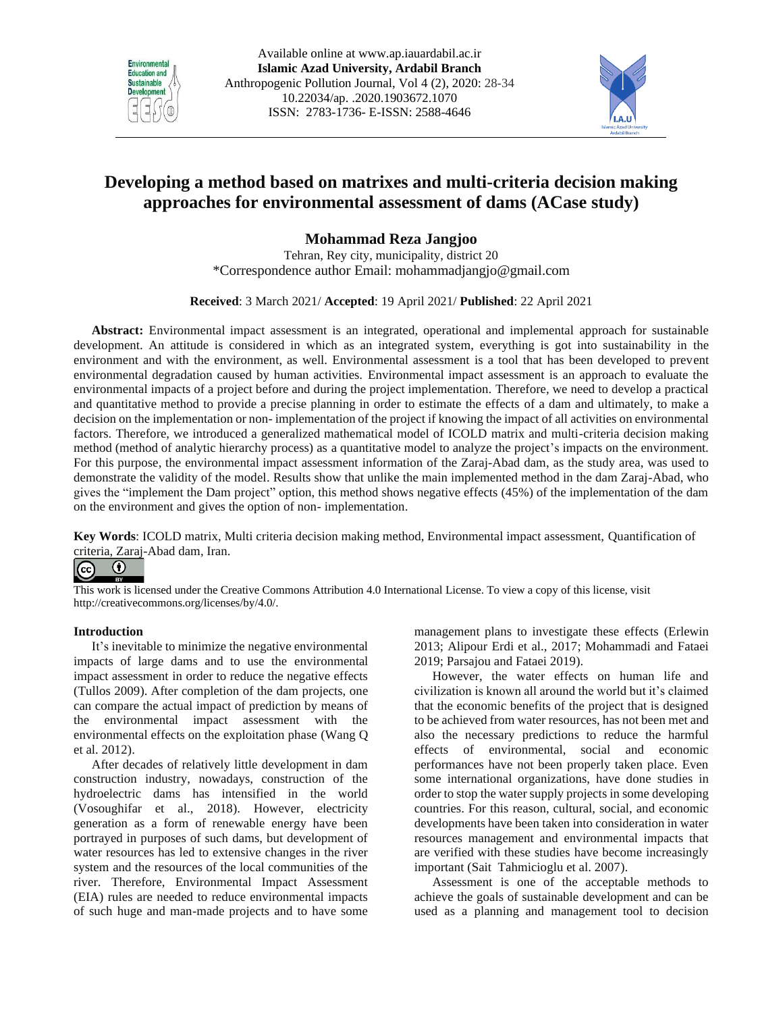



# **Developing a method based on matrixes and multi-criteria decision making approaches for environmental assessment of dams (ACase study)**

**Mohammad Reza Jangjoo**

Tehran, Rey city, municipality, district 20 \*Correspondence author Email: [mohammadjangjo@gmail.com](mailto:mohammadjangjo@gmail.com)

**Received**: 3 March 2021/ **Accepted**: 19 April 2021/ **Published**: 22 April 2021

**Abstract:** Environmental impact assessment is an integrated, operational and implemental approach for sustainable development. An attitude is considered in which as an integrated system, everything is got into sustainability in the environment and with the environment, as well. Environmental assessment is a tool that has been developed to prevent environmental degradation caused by human activities. Environmental impact assessment is an approach to evaluate the environmental impacts of a project before and during the project implementation. Therefore, we need to develop a practical and quantitative method to provide a precise planning in order to estimate the effects of a dam and ultimately, to make a decision on the implementation or non- implementation of the project if knowing the impact of all activities on environmental factors. Therefore, we introduced a generalized mathematical model of ICOLD matrix and multi-criteria decision making method (method of analytic hierarchy process) as a quantitative model to analyze the project's impacts on the environment. For this purpose, the environmental impact assessment information of the Zaraj-Abad dam, as the study area, was used to demonstrate the validity of the model. Results show that unlike the main implemented method in the dam Zaraj-Abad, who gives the "implement the Dam project" option, this method shows negative effects (45%) of the implementation of the dam on the environment and gives the option of non- implementation.

**Key Words**: ICOLD matrix, Multi criteria decision making method, Environmental impact assessment, Quantification of criteria, Zaraj-Abad dam, Iran.

#### $\bf{r}$  $\left(\mathrm{cc}\right)$

This work is licensed under the Creative Commons Attribution 4.0 International License. To view a copy of this license, visit http://creativecommons.org/licenses/by/4.0/.

# **Introduction**

It's inevitable to minimize the negative environmental impacts of large dams and to use the environmental impact assessment in order to reduce the negative effects [\(Tullos 2009\)](#page-9-0). After completion of the dam projects, one can compare the actual impact of prediction by means of the environmental impact assessment with the environmental effects on the exploitation phase [\(Wang Q](#page-9-1)  [et al. 2012\)](#page-9-1).

After decades of relatively little development in dam construction industry, nowadays, construction of the hydroelectric dams has intensified in the world (Vosoughifar et al., 2018). However, electricity generation as a form of renewable energy have been portrayed in purposes of such dams, but development of water resources has led to extensive changes in the river system and the resources of the local communities of the river. Therefore, Environmental Impact Assessment (EIA) rules are needed to reduce environmental impacts of such huge and man-made projects and to have some management plans to investigate these effects [\(Erlewin](#page-9-2)  [2013;](#page-9-2) Alipour Erdi et al., 2017; Mohammadi and Fataei 2019; Parsajou and Fataei 2019).

However, the water effects on human life and civilization is known all around the world but it's claimed that the economic benefits of the project that is designed to be achieved from water resources, has not been met and also the necessary predictions to reduce the harmful effects of environmental, social and economic performances have not been properly taken place. Even some international organizations, have done studies in order to stop the water supply projects in some developing countries. For this reason, cultural, social, and economic developments have been taken into consideration in water resources management and environmental impacts that are verified with these studies have become increasingly important [\(Sait Tahmicioglu et al. 2007\)](#page-9-3).

Assessment is one of the acceptable methods to achieve the goals of sustainable development and can be used as a planning and management tool to decision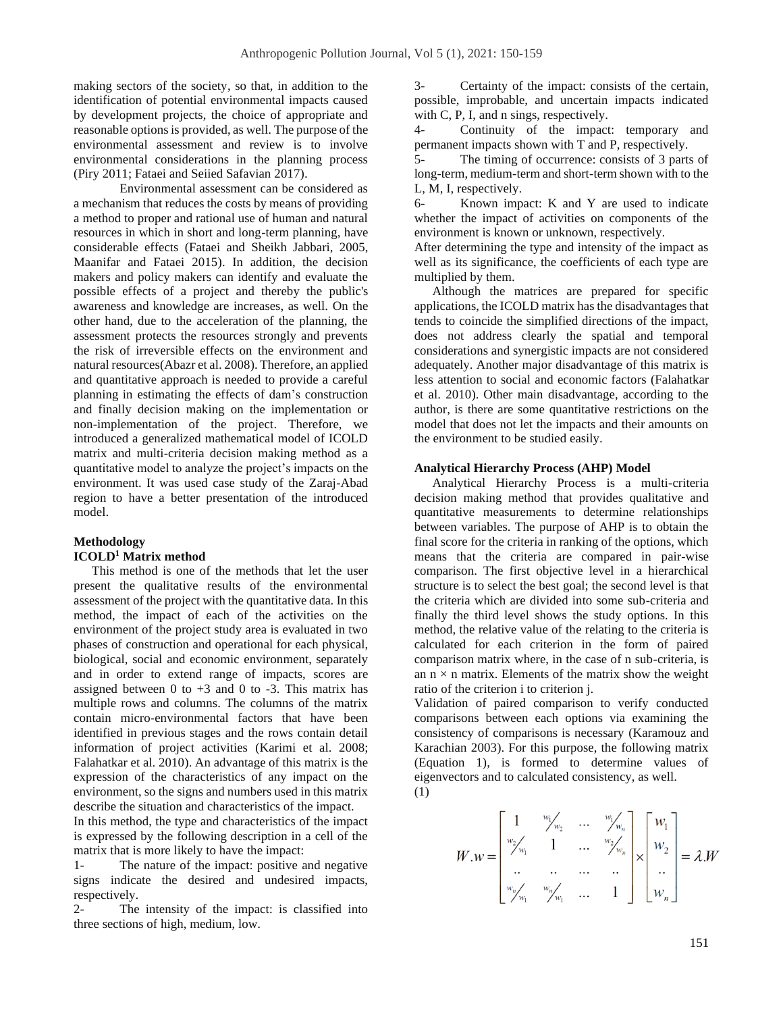making sectors of the society, so that, in addition to the identification of potential environmental impacts caused by development projects, the choice of appropriate and reasonable options is provided, as well. The purpose of the environmental assessment and review is to involve environmental considerations in the planning process [\(Piry 2011;](#page-9-4) Fataei and Seiied Safavian 2017).

Environmental assessment can be considered as a mechanism that reduces the costs by means of providing a method to proper and rational use of human and natural resources in which in short and long-term planning, have considerable effects (Fataei and Sheikh Jabbari, 2005, Maanifar and Fataei 2015). In addition, the decision makers and policy makers can identify and evaluate the possible effects of a project and thereby the public's awareness and knowledge are increases, as well. On the other hand, due to the acceleration of the planning, the assessment protects the resources strongly and prevents the risk of irreversible effects on the environment and natural resources[\(Abazr et al. 2008\)](#page-9-5). Therefore, an applied and quantitative approach is needed to provide a careful planning in estimating the effects of dam's construction and finally decision making on the implementation or non-implementation of the project. Therefore, we introduced a generalized mathematical model of ICOLD matrix and multi-criteria decision making method as a quantitative model to analyze the project's impacts on the environment. It was used case study of the Zaraj-Abad region to have a better presentation of the introduced model.

# **Methodology ICOLD<sup>1</sup> Matrix method**

This method is one of the methods that let the user present the qualitative results of the environmental assessment of the project with the quantitative data. In this method, the impact of each of the activities on the environment of the project study area is evaluated in two phases of construction and operational for each physical, biological, social and economic environment, separately and in order to extend range of impacts, scores are assigned between  $0$  to  $+3$  and  $0$  to  $-3$ . This matrix has multiple rows and columns. The columns of the matrix contain micro-environmental factors that have been identified in previous stages and the rows contain detail information of project activities [\(Karimi et al. 2008;](#page-9-6) [Falahatkar et al. 2010\)](#page-9-7). An advantage of this matrix is the expression of the characteristics of any impact on the environment, so the signs and numbers used in this matrix describe the situation and characteristics of the impact.

In this method, the type and characteristics of the impact is expressed by the following description in a cell of the matrix that is more likely to have the impact:

1- The nature of the impact: positive and negative signs indicate the desired and undesired impacts, respectively.

2- The intensity of the impact: is classified into three sections of high, medium, low.

3- Certainty of the impact: consists of the certain, possible, improbable, and uncertain impacts indicated with C, P, I, and n sings, respectively.

4- Continuity of the impact: temporary and permanent impacts shown with T and P, respectively.

5- The timing of occurrence: consists of 3 parts of long-term, medium-term and short-term shown with to the L, M, I, respectively.

Known impact: K and Y are used to indicate whether the impact of activities on components of the environment is known or unknown, respectively.

After determining the type and intensity of the impact as well as its significance, the coefficients of each type are multiplied by them.

Although the matrices are prepared for specific applications, the ICOLD matrix has the disadvantages that tends to coincide the simplified directions of the impact, does not address clearly the spatial and temporal considerations and synergistic impacts are not considered adequately. Another major disadvantage of this matrix is less attention to social and economic factors [\(Falahatkar](#page-9-7)  [et al. 2010\)](#page-9-7). Other main disadvantage, according to the author, is there are some quantitative restrictions on the model that does not let the impacts and their amounts on the environment to be studied easily.

#### **Analytical Hierarchy Process (AHP) Model**

Analytical Hierarchy Process is a multi-criteria decision making method that provides qualitative and quantitative measurements to determine relationships between variables. The purpose of AHP is to obtain the final score for the criteria in ranking of the options, which means that the criteria are compared in pair-wise comparison. The first objective level in a hierarchical structure is to select the best goal; the second level is that the criteria which are divided into some sub-criteria and finally the third level shows the study options. In this method, the relative value of the relating to the criteria is calculated for each criterion in the form of paired comparison matrix where, in the case of n sub-criteria, is an  $n \times n$  matrix. Elements of the matrix show the weight ratio of the criterion i to criterion j.

Validation of paired comparison to verify conducted comparisons between each options via examining the consistency of comparisons is necessary [\(Karamouz and](#page-9-8)  [Karachian 2003\)](#page-9-8). For this purpose, the following matrix (Equation 1), is formed to determine values of eigenvectors and to calculated consistency, as well. (1)

$$
W.w = \begin{bmatrix} 1 & w_{w_1} & \dots & w_{w_n} \\ w_{w_1} & 1 & \dots & w_{w_n} \\ \dots & \dots & \dots & \dots \\ w_{w_n} & w_{w_1} & \dots & 1 \end{bmatrix} \times \begin{bmatrix} w_1 \\ w_2 \\ \dots \\ w_n \end{bmatrix} = \lambda W
$$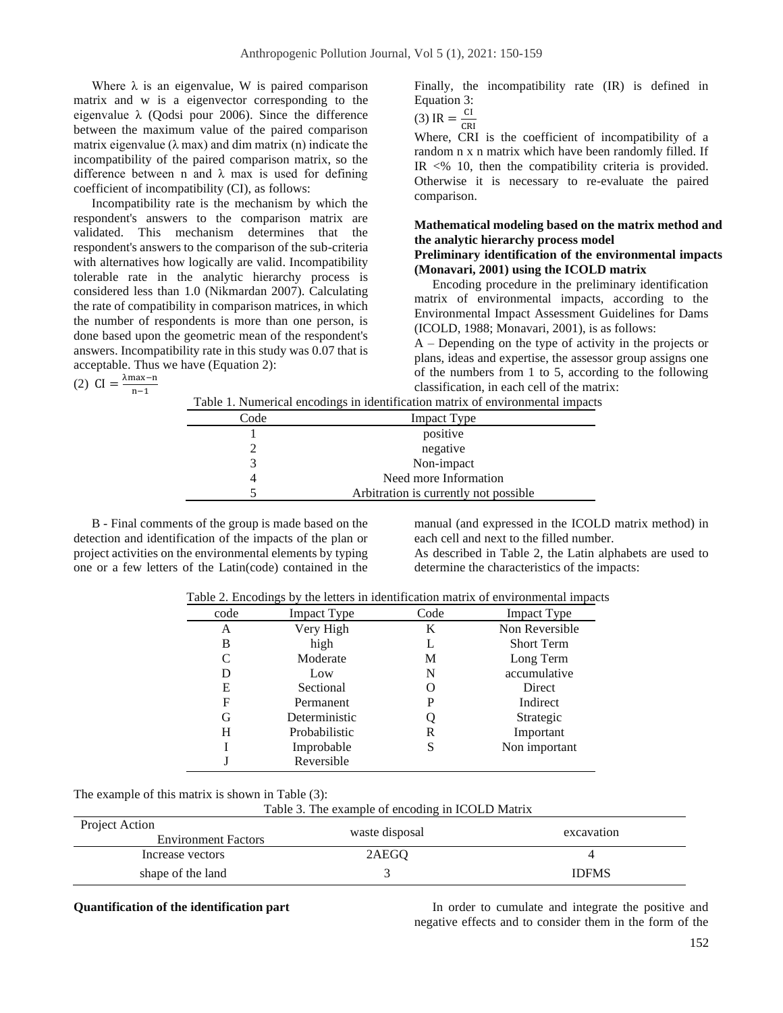Where  $\lambda$  is an eigenvalue, W is paired comparison matrix and w is a eigenvector corresponding to the eigenvalue  $\lambda$  (Oodsi pour 2006). Since the difference between the maximum value of the paired comparison matrix eigenvalue  $(\lambda \text{ max})$  and dim matrix  $(n)$  indicate the incompatibility of the paired comparison matrix, so the difference between n and  $\lambda$  max is used for defining coefficient of incompatibility (CI), as follows:

Incompatibility rate is the mechanism by which the respondent's answers to the comparison matrix are validated. This mechanism determines that the respondent's answers to the comparison of the sub-criteria with alternatives how logically are valid. Incompatibility tolerable rate in the analytic hierarchy process is considered less than 1.0 [\(Nikmardan 2007\)](#page-9-10). Calculating the rate of compatibility in comparison matrices, in which the number of respondents is more than one person, is done based upon the geometric mean of the respondent's answers. Incompatibility rate in this study was 0.07 that is acceptable. Thus we have (Equation 2):

$$
(2) \ \text{CI} = \frac{\lambda \text{max} - \text{n}}{\text{n} - 1}
$$

Finally, the incompatibility rate (IR) is defined in Equation 3:

(3) IR = 
$$
\frac{CI}{CD}
$$

(3) IR =  $\frac{C}{CRI}$ <br>Where, CRI is the coefficient of incompatibility of a random n x n matrix which have been randomly filled. If IR  $\leq$ % 10, then the compatibility criteria is provided. Otherwise it is necessary to re-evaluate the paired comparison.

# **Mathematical modeling based on the matrix method and the analytic hierarchy process model Preliminary identification of the environmental impacts (Monavari, 2001) using the ICOLD matrix**

Encoding procedure in the preliminary identification matrix of environmental impacts, according to the Environmental Impact Assessment Guidelines for Dams (ICOLD, 1988; Monavari, 2001), is as follows:

A – Depending on the type of activity in the projects or plans, ideas and expertise, the assessor group assigns one of the numbers from 1 to 5, according to the following classification, in each cell of the matrix:

|      | Table 1. Numerical encodings in identification matrix of environmental impacts |
|------|--------------------------------------------------------------------------------|
| Code | <b>Impact Type</b>                                                             |
|      | positive                                                                       |
|      | negative                                                                       |
|      | Non-impact                                                                     |
|      | Need more Information                                                          |
|      | Arbitration is currently not possible                                          |

B - Final comments of the group is made based on the detection and identification of the impacts of the plan or project activities on the environmental elements by typing one or a few letters of the Latin(code) contained in the manual (and expressed in the ICOLD matrix method) in each cell and next to the filled number.

As described in Table 2, the Latin alphabets are used to determine the characteristics of the impacts:

| Table 2. Encodings by the letters in identification matrix of environmental impacts |
|-------------------------------------------------------------------------------------|
|-------------------------------------------------------------------------------------|

| code | <b>Impact Type</b> | Code | <b>Impact Type</b> |
|------|--------------------|------|--------------------|
| А    | Very High          | K    | Non Reversible     |
| В    | high               | L    | <b>Short Term</b>  |
| C    | Moderate           | М    | Long Term          |
| D    | Low                | N    | accumulative       |
| E    | Sectional          | ( )  | <b>Direct</b>      |
| F    | Permanent          | P    | Indirect           |
| G    | Deterministic      | Ő    | Strategic          |
| H    | Probabilistic      | R    | Important          |
|      | Improbable         | S    | Non important      |
|      | Reversible         |      |                    |

The example of this matrix is shown in Table (3): Table 3. The example of encoding in ICOLD Matrix

| Table 5. The example of cheguing in regled Matrix |                |              |  |  |  |  |  |  |  |  |  |
|---------------------------------------------------|----------------|--------------|--|--|--|--|--|--|--|--|--|
| Project Action                                    | waste disposal | excavation   |  |  |  |  |  |  |  |  |  |
| <b>Environment Factors</b>                        |                |              |  |  |  |  |  |  |  |  |  |
| Increase vectors                                  | 2AEGO          |              |  |  |  |  |  |  |  |  |  |
| shape of the land                                 |                | <b>IDFMS</b> |  |  |  |  |  |  |  |  |  |

**Quantification of the identification part** In order to cumulate and integrate the positive and negative effects and to consider them in the form of the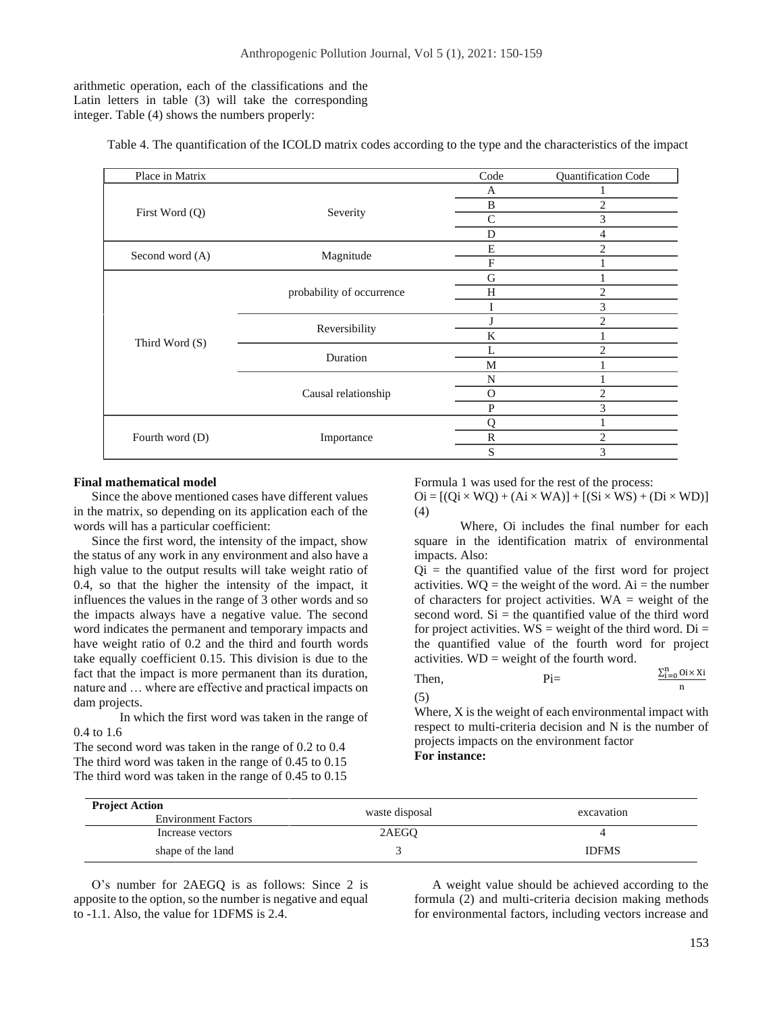arithmetic operation, each of the classifications and the Latin letters in table (3) will take the corresponding integer. Table (4) shows the numbers properly:

Table 4. The quantification of the ICOLD matrix codes according to the type and the characteristics of the impact

| Place in Matrix |                           | Code          | Quantification Code |
|-----------------|---------------------------|---------------|---------------------|
|                 |                           | A             |                     |
|                 |                           | B             | 2                   |
| First Word (Q)  | Severity                  | $\mathsf{C}$  | 3                   |
|                 |                           | D             | 4                   |
|                 |                           | E             | 2                   |
| Second word (A) | Magnitude                 | F             |                     |
|                 |                           | G             |                     |
|                 | probability of occurrence | H             | $\overline{2}$      |
|                 |                           |               | 3                   |
|                 | Reversibility             | J             | 2                   |
| Third Word (S)  |                           | K             |                     |
|                 | Duration                  | L             | $\overline{c}$      |
|                 |                           | M             |                     |
|                 |                           | N             |                     |
|                 | Causal relationship       | $\mathcal{O}$ | $\overline{c}$      |
|                 |                           | P             | 3                   |
|                 |                           | Ω             |                     |
| Fourth word (D) | Importance                | $\mathbb{R}$  | $\overline{c}$      |
|                 |                           | S             | 3                   |

#### **Final mathematical model**

Since the above mentioned cases have different values in the matrix, so depending on its application each of the words will has a particular coefficient:

Since the first word, the intensity of the impact, show the status of any work in any environment and also have a high value to the output results will take weight ratio of 0.4, so that the higher the intensity of the impact, it influences the values in the range of 3 other words and so the impacts always have a negative value. The second word indicates the permanent and temporary impacts and have weight ratio of 0.2 and the third and fourth words take equally coefficient 0.15. This division is due to the fact that the impact is more permanent than its duration, nature and … where are effective and practical impacts on dam projects.

In which the first word was taken in the range of 0.4 to 1.6

The second word was taken in the range of 0.2 to 0.4 The third word was taken in the range of 0.45 to 0.15 The third word was taken in the range of 0.45 to 0.15 Formula 1 was used for the rest of the process:  $\text{Oi} = [(\text{Oi} \times \text{WO}) + (\text{Ai} \times \text{WA})] + [(\text{Si} \times \text{WS}) + (\text{Di} \times \text{WD})]$ 

(4)

Where, Oi includes the final number for each square in the identification matrix of environmental impacts. Also:

 $Qi =$  the quantified value of the first word for project activities.  $WO =$  the weight of the word. Ai = the number of characters for project activities.  $WA = weight$  of the second word.  $Si$  = the quantified value of the third word for project activities.  $WS = weight$  of the third word. Di = the quantified value of the fourth word for project activities. WD = weight of the fourth word.

Then, 
$$
Pi = \frac{\sum_{i=0}^{n} 0i \times Xi}{n}
$$

(5)

Where, X is the weight of each environmental impact with respect to multi-criteria decision and N is the number of projects impacts on the environment factor **For instance:**

| <b>Project Action</b><br><b>Environment Factors</b> | waste disposal | excavation   |
|-----------------------------------------------------|----------------|--------------|
| Increase vectors                                    | 2AEGO          |              |
| shape of the land                                   |                | <b>IDFMS</b> |

O's number for 2AEGQ is as follows: Since 2 is apposite to the option, so the number is negative and equal to -1.1. Also, the value for 1DFMS is 2.4.

A weight value should be achieved according to the formula (2) and multi-criteria decision making methods for environmental factors, including vectors increase and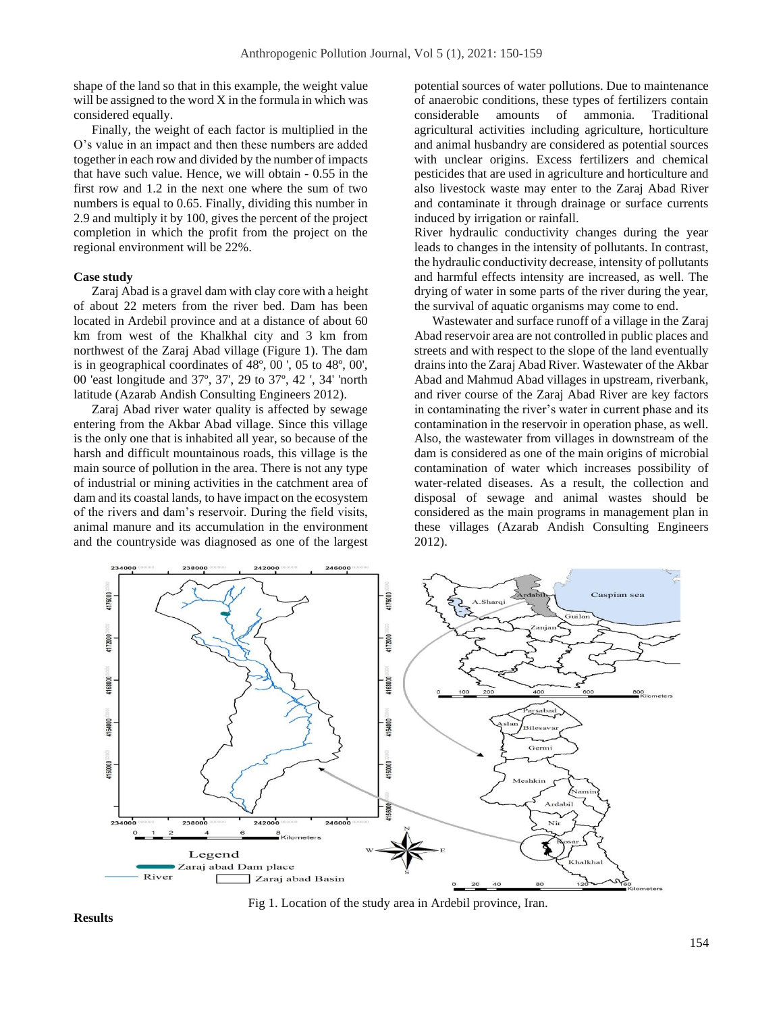shape of the land so that in this example, the weight value will be assigned to the word  $X$  in the formula in which was considered equally.

Finally, the weight of each factor is multiplied in the O's value in an impact and then these numbers are added together in each row and divided by the number of impacts that have such value. Hence, we will obtain - 0.55 in the first row and 1.2 in the next one where the sum of two numbers is equal to 0.65. Finally, dividing this number in 2.9 and multiply it by 100, gives the percent of the project completion in which the profit from the project on the regional environment will be 22%.

# **Case study**

Zaraj Abad is a gravel dam with clay core with a height of about 22 meters from the river bed. Dam has been located in Ardebil province and at a distance of about 60 km from west of the Khalkhal city and 3 km from northwest of the Zaraj Abad village (Figure 1). The dam is in geographical coordinates of 48º, 00 ', 05 to 48º, 00', 00 'east longitude and 37º, 37', 29 to 37º, 42 ', 34' 'north latitude [\(Azarab Andish Consulting](#page-9-11) Engineers 2012).

Zaraj Abad river water quality is affected by sewage entering from the Akbar Abad village. Since this village is the only one that is inhabited all year, so because of the harsh and difficult mountainous roads, this village is the main source of pollution in the area. There is not any type of industrial or mining activities in the catchment area of dam and its coastal lands, to have impact on the ecosystem of the rivers and dam's reservoir. During the field visits, animal manure and its accumulation in the environment and the countryside was diagnosed as one of the largest potential sources of water pollutions. Due to maintenance of anaerobic conditions, these types of fertilizers contain considerable amounts of ammonia. Traditional agricultural activities including agriculture, horticulture and animal husbandry are considered as potential sources with unclear origins. Excess fertilizers and chemical pesticides that are used in agriculture and horticulture and also livestock waste may enter to the Zaraj Abad River and contaminate it through drainage or surface currents induced by irrigation or rainfall.

River hydraulic conductivity changes during the year leads to changes in the intensity of pollutants. In contrast, the hydraulic conductivity decrease, intensity of pollutants and harmful effects intensity are increased, as well. The drying of water in some parts of the river during the year, the survival of aquatic organisms may come to end.

Wastewater and surface runoff of a village in the Zaraj Abad reservoir area are not controlled in public places and streets and with respect to the slope of the land eventually drains into the Zaraj Abad River. Wastewater of the Akbar Abad and Mahmud Abad villages in upstream, riverbank, and river course of the Zaraj Abad River are key factors in contaminating the river's water in current phase and its contamination in the reservoir in operation phase, as well. Also, the wastewater from villages in downstream of the dam is considered as one of the main origins of microbial contamination of water which increases possibility of water-related diseases. As a result, the collection and disposal of sewage and animal wastes should be considered as the main programs in management plan in these villages [\(Azarab Andish Consulting Engineers](#page-9-11)  [2012\)](#page-9-11).



**Results**

Fig 1. Location of the study area in Ardebil province, Iran.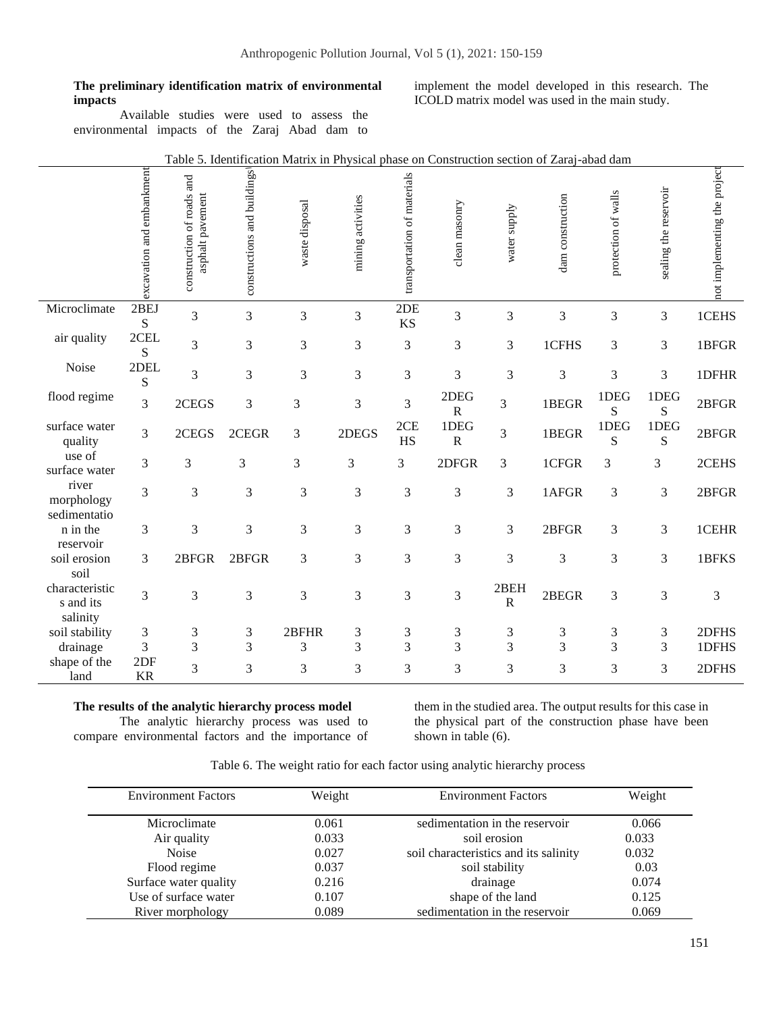**The preliminary identification matrix of environmental impacts**

Available studies were used to assess the environmental impacts of the Zaraj Abad dam to

implement the model developed in this research. The ICOLD matrix model was used in the main study.

|                                         | excavation and embankment | construction of roads and<br>asphalt pavement | constructions and buildings | waste disposal | mining activities | transportation of materials | clean masonry                 | water supply         | dam construction | protection of walls | sealing the reservoir | not implementing the project |
|-----------------------------------------|---------------------------|-----------------------------------------------|-----------------------------|----------------|-------------------|-----------------------------|-------------------------------|----------------------|------------------|---------------------|-----------------------|------------------------------|
| Microclimate                            | 2BEJ<br>S                 | 3                                             | 3                           | 3              | 3                 | 2DE<br><b>KS</b>            | 3                             | 3                    | 3                | 3                   | $\mathfrak{Z}$        | 1CEHS                        |
| air quality                             | 2CEL<br>${\bf S}$         | 3                                             | 3                           | 3              | 3                 | 3                           | 3                             | 3                    | 1CFHS            | 3                   | 3                     | 1BFGR                        |
| Noise                                   | 2DEL<br>${\bf S}$         | 3                                             | 3                           | 3              | 3                 | 3                           | 3                             | 3                    | 3                | 3                   | 3                     | 1DFHR                        |
| flood regime                            | 3                         | 2CEGS                                         | 3                           | 3              | 3                 | 3                           | 2DEG<br>$\overline{\text{R}}$ | 3                    | 1BEGR            | 1DEG<br>S           | 1DEG<br>S             | 2BFGR                        |
| surface water<br>quality                | 3                         | 2CEGS                                         | 2CEGR                       | 3              | 2DEGS             | 2CE<br>HS                   | 1DEG<br>$\overline{\text{R}}$ | 3                    | 1BEGR            | 1DEG<br>S           | 1DEG<br>S             | 2BFGR                        |
| use of<br>surface water                 | $\overline{3}$            | 3                                             | 3                           | 3              | 3                 | 3                           | 2DFGR                         | 3                    | 1CFGR            | 3                   | 3                     | 2CEHS                        |
| river<br>morphology<br>sedimentatio     | 3                         | $\mathfrak{Z}$                                | 3                           | 3              | 3                 | 3                           | $\mathfrak{Z}$                | 3                    | 1AFGR            | 3                   | 3                     | 2BFGR                        |
| n in the<br>reservoir                   | 3                         | 3                                             | 3                           | 3              | 3                 | 3                           | 3                             | 3                    | 2BFGR            | 3                   | 3                     | 1CEHR                        |
| soil erosion<br>soil                    | 3                         | 2BFGR                                         | 2BFGR                       | 3              | 3                 | 3                           | 3                             | 3                    | 3                | 3                   | 3                     | 1BFKS                        |
| characteristic<br>s and its<br>salinity | $\overline{3}$            | 3                                             | 3                           | 3              | 3                 | 3                           | 3                             | 2BEH<br>$\mathbb{R}$ | 2BEGR            | 3                   | 3                     | 3                            |
| soil stability                          | 3                         | 3                                             | $\sqrt{3}$                  | 2BFHR          | 3                 | 3                           | 3                             | 3                    | 3                | 3                   | 3                     | 2DFHS                        |
| drainage                                | 3                         | $\mathfrak{Z}$                                | 3                           | 3              | 3                 | $\overline{3}$              | 3                             | 3                    | 3                | 3                   | 3                     | 1DFHS                        |
| shape of the                            | 2DF                       |                                               |                             |                |                   |                             |                               |                      |                  |                     |                       |                              |
| land                                    | <b>KR</b>                 | 3                                             | 3                           | 3              | 3                 | 3                           | 3                             | 3                    | 3                | 3                   | 3                     | 2DFHS                        |

# Table 5. Identification Matrix in Physical phase on Construction section of Zaraj-abad dam

**The results of the analytic hierarchy process model**

The analytic hierarchy process was used to compare environmental factors and the importance of them in the studied area. The output results for this case in the physical part of the construction phase have been shown in table (6).

| <b>Environment Factors</b> | Weight | <b>Environment Factors</b>            | Weight |
|----------------------------|--------|---------------------------------------|--------|
| Microclimate               | 0.061  | sedimentation in the reservoir        | 0.066  |
| Air quality                | 0.033  | soil erosion                          | 0.033  |
| <b>Noise</b>               | 0.027  | soil characteristics and its salinity | 0.032  |
| Flood regime               | 0.037  | soil stability                        | 0.03   |
| Surface water quality      | 0.216  | drainage                              | 0.074  |
| Use of surface water       | 0.107  | shape of the land                     | 0.125  |
| River morphology           | 0.089  | sedimentation in the reservoir        | 0.069  |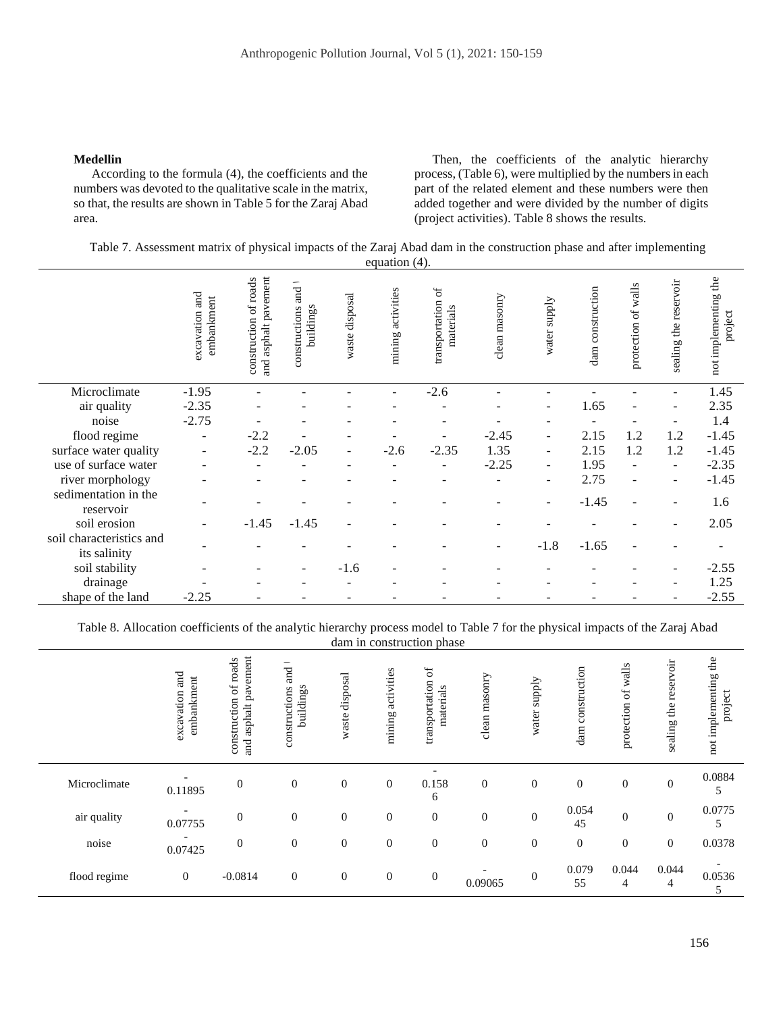#### **Medellin**

According to the formula (4), the coefficients and the numbers was devoted to the qualitative scale in the matrix, so that, the results are shown in Table 5 for the Zaraj Abad area.

Then, the coefficients of the analytic hierarchy process, (Table 6), were multiplied by the numbers in each part of the related element and these numbers were then added together and were divided by the number of digits (project activities). Table 8 shows the results.

Table 7. Assessment matrix of physical impacts of the Zaraj Abad dam in the construction phase and after implementing equation (4).

|                                          | and<br>embankment<br>excavation | and asphalt pavement<br>construction of roads | <b>Tand</b><br>buildings<br>constructions | waste disposal | mining activities | $_{\rm of}$<br>transportation<br>materials | clean masonry | water supply             | construction<br>dam. | protection of walls | sealing the reservoir | not implementing the<br>project |
|------------------------------------------|---------------------------------|-----------------------------------------------|-------------------------------------------|----------------|-------------------|--------------------------------------------|---------------|--------------------------|----------------------|---------------------|-----------------------|---------------------------------|
| Microclimate                             | $-1.95$                         |                                               |                                           |                | ۰                 | $-2.6$                                     |               |                          |                      |                     |                       | 1.45                            |
| air quality                              | $-2.35$                         |                                               |                                           |                |                   |                                            |               | $\overline{a}$           | 1.65                 | ٠                   |                       | 2.35                            |
| noise                                    | $-2.75$                         |                                               |                                           |                |                   |                                            |               |                          |                      |                     |                       | 1.4                             |
| flood regime                             | ۰                               | $-2.2$                                        |                                           |                |                   |                                            | $-2.45$       | ٠                        | 2.15                 | 1.2                 | 1.2                   | $-1.45$                         |
| surface water quality                    | ۰                               | $-2.2$                                        | $-2.05$                                   | $\blacksquare$ | $-2.6$            | $-2.35$                                    | 1.35          | $\overline{\phantom{a}}$ | 2.15                 | 1.2                 | 1.2                   | $-1.45$                         |
| use of surface water                     |                                 |                                               |                                           |                |                   |                                            | $-2.25$       | ÷,                       | 1.95                 |                     | ÷                     | $-2.35$                         |
| river morphology                         |                                 |                                               |                                           |                |                   |                                            |               | $\overline{\phantom{m}}$ | 2.75                 |                     |                       | $-1.45$                         |
| sedimentation in the<br>reservoir        |                                 |                                               |                                           |                |                   |                                            |               | ۰                        | $-1.45$              |                     |                       | 1.6                             |
| soil erosion                             |                                 | $-1.45$                                       | $-1.45$                                   |                |                   |                                            |               |                          |                      |                     |                       | 2.05                            |
| soil characteristics and<br>its salinity |                                 |                                               |                                           |                |                   |                                            |               | $-1.8$                   | $-1.65$              |                     |                       |                                 |
| soil stability                           |                                 |                                               | $\overline{\phantom{a}}$                  | $-1.6$         |                   |                                            |               |                          |                      |                     |                       | $-2.55$                         |
| drainage                                 |                                 |                                               |                                           |                |                   |                                            |               |                          |                      |                     |                       | 1.25                            |
| shape of the land                        | $-2.25$                         |                                               |                                           |                |                   |                                            |               |                          |                      |                     |                       | $-2.55$                         |

Table 8. Allocation coefficients of the analytic hierarchy process model to Table 7 for the physical impacts of the Zaraj Abad dam in construction phase

|              | excavation and<br>embankment | asphalt pavement<br>of roads<br>construction<br><b>Tand</b> | and $\overline{1}$<br>buildings<br>constructions | disposal<br>waste | activities<br>mining | $\sigma$<br>transportation<br>materials | clean masonry | supply<br>water  | dam construction | protection of walls | reservoir<br>the<br>sealing | not implementing the<br>project |
|--------------|------------------------------|-------------------------------------------------------------|--------------------------------------------------|-------------------|----------------------|-----------------------------------------|---------------|------------------|------------------|---------------------|-----------------------------|---------------------------------|
| Microclimate | 0.11895                      | $\boldsymbol{0}$                                            | $\boldsymbol{0}$                                 | $\mathbf{0}$      | $\boldsymbol{0}$     | 0.158<br>6                              | $\mathbf{0}$  | $\mathbf{0}$     | $\boldsymbol{0}$ | $\mathbf{0}$        | $\boldsymbol{0}$            | 0.0884<br>5                     |
| air quality  | 0.07755                      | $\overline{0}$                                              | $\mathbf{0}$                                     | $\mathbf{0}$      | $\mathbf{0}$         | $\mathbf{0}$                            | $\mathbf{0}$  | $\boldsymbol{0}$ | 0.054<br>45      | $\mathbf{0}$        | $\overline{0}$              | 0.0775<br>5                     |
| noise        | 0.07425                      | $\mathbf{0}$                                                | $\mathbf{0}$                                     | $\mathbf{0}$      | $\boldsymbol{0}$     | $\mathbf{0}$                            | $\mathbf{0}$  | $\mathbf{0}$     | $\boldsymbol{0}$ | $\mathbf{0}$        | $\boldsymbol{0}$            | 0.0378                          |
| flood regime | $\boldsymbol{0}$             | $-0.0814$                                                   | $\boldsymbol{0}$                                 | $\boldsymbol{0}$  | $\boldsymbol{0}$     | $\boldsymbol{0}$                        | 0.09065       | $\mathbf{0}$     | 0.079<br>55      | 0.044<br>4          | 0.044<br>4                  | 0.0536<br>5                     |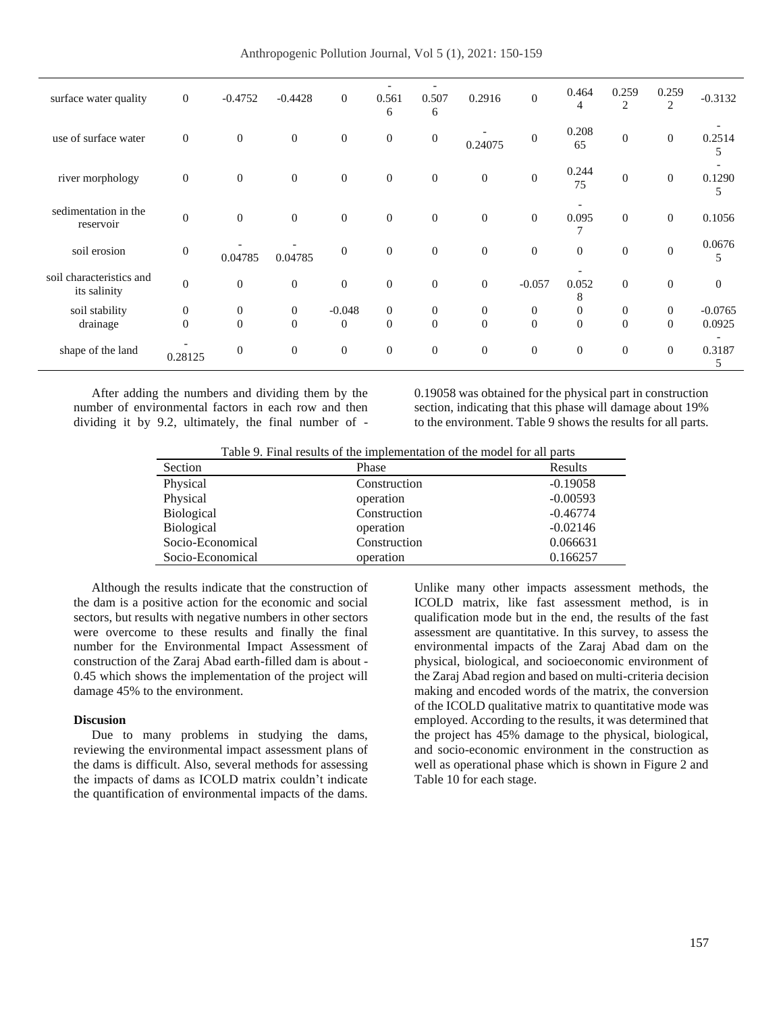Anthropogenic Pollution Journal, Vol 5 (1), 2021: 150-159

| surface water quality                    | $\boldsymbol{0}$ | $-0.4752$        | $-0.4428$      | $\mathbf{0}$     | 0.561<br>6       | 0.507<br>6       | 0.2916         | $\overline{0}$   | 0.464<br>4     | 0.259<br>2       | 0.259<br>$\overline{2}$ | $-0.3132$   |
|------------------------------------------|------------------|------------------|----------------|------------------|------------------|------------------|----------------|------------------|----------------|------------------|-------------------------|-------------|
| use of surface water                     | $\overline{0}$   | $\boldsymbol{0}$ | $\mathbf{0}$   | $\mathbf{0}$     | $\boldsymbol{0}$ | $\boldsymbol{0}$ | 0.24075        | $\boldsymbol{0}$ | 0.208<br>65    | $\boldsymbol{0}$ | $\mathbf{0}$            | 0.2514<br>5 |
| river morphology                         | $\overline{0}$   | $\overline{0}$   | $\overline{0}$ | $\boldsymbol{0}$ | $\mathbf{0}$     | $\overline{0}$   | $\mathbf{0}$   | $\mathbf{0}$     | 0.244<br>75    | $\boldsymbol{0}$ | $\overline{0}$          | 0.1290<br>5 |
| sedimentation in the<br>reservoir        | $\mathbf{0}$     | $\overline{0}$   | $\theta$       | $\boldsymbol{0}$ | $\overline{0}$   | $\overline{0}$   | $\mathbf{0}$   | $\overline{0}$   | 0.095<br>7     | $\theta$         | $\overline{0}$          | 0.1056      |
| soil erosion                             | $\mathbf{0}$     | 0.04785          | 0.04785        | $\mathbf{0}$     | $\mathbf{0}$     | $\overline{0}$   | $\overline{0}$ | $\mathbf{0}$     | $\overline{0}$ | $\mathbf{0}$     | $\boldsymbol{0}$        | 0.0676<br>5 |
| soil characteristics and<br>its salinity | $\mathbf{0}$     | $\overline{0}$   | $\overline{0}$ | $\overline{0}$   | $\overline{0}$   | $\overline{0}$   | $\overline{0}$ | $-0.057$         | 0.052<br>8     | $\theta$         | $\overline{0}$          | $\theta$    |
| soil stability                           | $\theta$         | $\overline{0}$   | $\mathbf{0}$   | $-0.048$         | $\overline{0}$   | $\boldsymbol{0}$ | $\mathbf{0}$   | $\mathbf{0}$     | $\overline{0}$ | $\boldsymbol{0}$ | $\overline{0}$          | $-0.0765$   |
|                                          | $\theta$         | $\Omega$         | $\Omega$       | $\mathbf{0}$     | $\Omega$         | $\Omega$         | $\Omega$       | $\overline{0}$   | $\theta$       | $\overline{0}$   | $\theta$                |             |
| drainage                                 |                  |                  |                |                  |                  |                  |                |                  |                |                  |                         | 0.0925      |
| shape of the land                        | 0.28125          | $\overline{0}$   | $\theta$       | $\mathbf{0}$     | $\mathbf{0}$     | $\overline{0}$   | $\overline{0}$ | $\overline{0}$   | $\overline{0}$ | $\theta$         | $\overline{0}$          | 0.3187<br>5 |

After adding the numbers and dividing them by the number of environmental factors in each row and then dividing it by 9.2, ultimately, the final number of - 0.19058 was obtained for the physical part in construction section, indicating that this phase will damage about 19% to the environment. Table 9 shows the results for all parts.

Table 9. Final results of the implementation of the model for all parts

| Section          | Phase        | Results    |
|------------------|--------------|------------|
| Physical         | Construction | $-0.19058$ |
| Physical         | operation    | $-0.00593$ |
| Biological       | Construction | $-0.46774$ |
| Biological       | operation    | $-0.02146$ |
| Socio-Economical | Construction | 0.066631   |
| Socio-Economical | operation    | 0.166257   |

Although the results indicate that the construction of the dam is a positive action for the economic and social sectors, but results with negative numbers in other sectors were overcome to these results and finally the final number for the Environmental Impact Assessment of construction of the Zaraj Abad earth-filled dam is about - 0.45 which shows the implementation of the project will damage 45% to the environment.

#### **Discusion**

Due to many problems in studying the dams, reviewing the environmental impact assessment plans of the dams is difficult. Also, several methods for assessing the impacts of dams as ICOLD matrix couldn't indicate the quantification of environmental impacts of the dams.

Unlike many other impacts assessment methods, the ICOLD matrix, like fast assessment method, is in qualification mode but in the end, the results of the fast assessment are quantitative. In this survey, to assess the environmental impacts of the Zaraj Abad dam on the physical, biological, and socioeconomic environment of the Zaraj Abad region and based on multi-criteria decision making and encoded words of the matrix, the conversion of the ICOLD qualitative matrix to quantitative mode was employed. According to the results, it was determined that the project has 45% damage to the physical, biological, and socio-economic environment in the construction as well as operational phase which is shown in Figure 2 and Table 10 for each stage.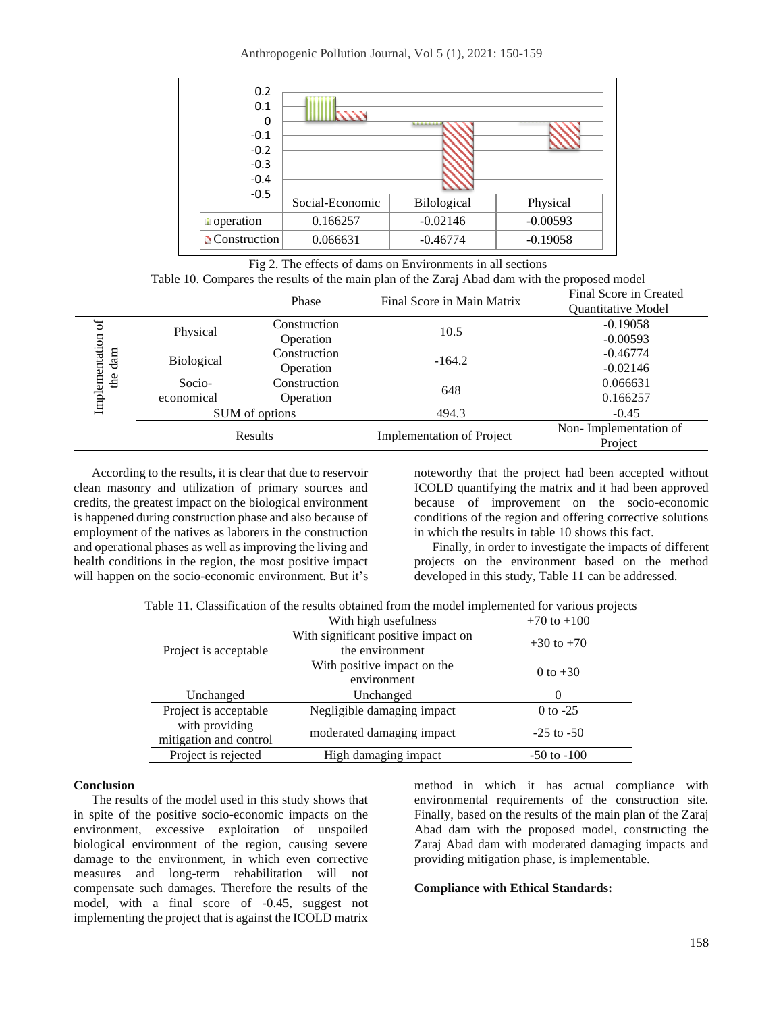Anthropogenic Pollution Journal, Vol 5 (1), 2021: 150-159



Fig 2. The effects of dams on Environments in all sections Table 10. Compares the results of the main plan of the Zaraj Abad dam with the proposed model

|                |            | Phase          | Final Score in Main Matrix       | Final Score in Created           |  |
|----------------|------------|----------------|----------------------------------|----------------------------------|--|
|                |            |                |                                  | <b>Ouantitative Model</b>        |  |
| ď              | Physical   | Construction   | 10.5                             | $-0.19058$                       |  |
|                |            | Operation      |                                  | $-0.00593$                       |  |
| dam            | Biological | Construction   | $-164.2$                         | $-0.46774$                       |  |
|                |            | Operation      |                                  | $-0.02146$                       |  |
| the            | Socio-     | Construction   | 648                              | 0.066631                         |  |
| Implementation | economical | Operation      |                                  | 0.166257                         |  |
|                |            | SUM of options | 494.3                            | $-0.45$                          |  |
|                |            | Results        | <b>Implementation of Project</b> | Non-Implementation of<br>Project |  |

According to the results, it is clear that due to reservoir clean masonry and utilization of primary sources and credits, the greatest impact on the biological environment is happened during construction phase and also because of employment of the natives as laborers in the construction and operational phases as well as improving the living and health conditions in the region, the most positive impact will happen on the socio-economic environment. But it's

noteworthy that the project had been accepted without ICOLD quantifying the matrix and it had been approved because of improvement on the socio-economic conditions of the region and offering corrective solutions in which the results in table 10 shows this fact.

Finally, in order to investigate the impacts of different projects on the environment based on the method developed in this study, Table 11 can be addressed.

|  | Table 11. Classification of the results obtained from the model implemented for various projects |  |  |  |  |  |  |
|--|--------------------------------------------------------------------------------------------------|--|--|--|--|--|--|
|--|--------------------------------------------------------------------------------------------------|--|--|--|--|--|--|

|                        | With high usefulness                | $+70$ to $+100$ |
|------------------------|-------------------------------------|-----------------|
|                        | With significant positive impact on | $+30$ to $+70$  |
| Project is acceptable  | the environment                     |                 |
|                        | With positive impact on the         | 0 to $+30$      |
|                        | environment                         |                 |
|                        |                                     |                 |
| Unchanged              | Unchanged                           |                 |
| Project is acceptable  | Negligible damaging impact          | $0$ to $-25$    |
| with providing         |                                     |                 |
| mitigation and control | moderated damaging impact           | $-25$ to $-50$  |

#### **Conclusion**

The results of the model used in this study shows that in spite of the positive socio-economic impacts on the environment, excessive exploitation of unspoiled biological environment of the region, causing severe damage to the environment, in which even corrective measures and long-term rehabilitation will not compensate such damages. Therefore the results of the model, with a final score of -0.45, suggest not implementing the project that is against the ICOLD matrix

method in which it has actual compliance with environmental requirements of the construction site. Finally, based on the results of the main plan of the Zaraj Abad dam with the proposed model, constructing the Zaraj Abad dam with moderated damaging impacts and providing mitigation phase, is implementable.

#### **Compliance with Ethical Standards:**